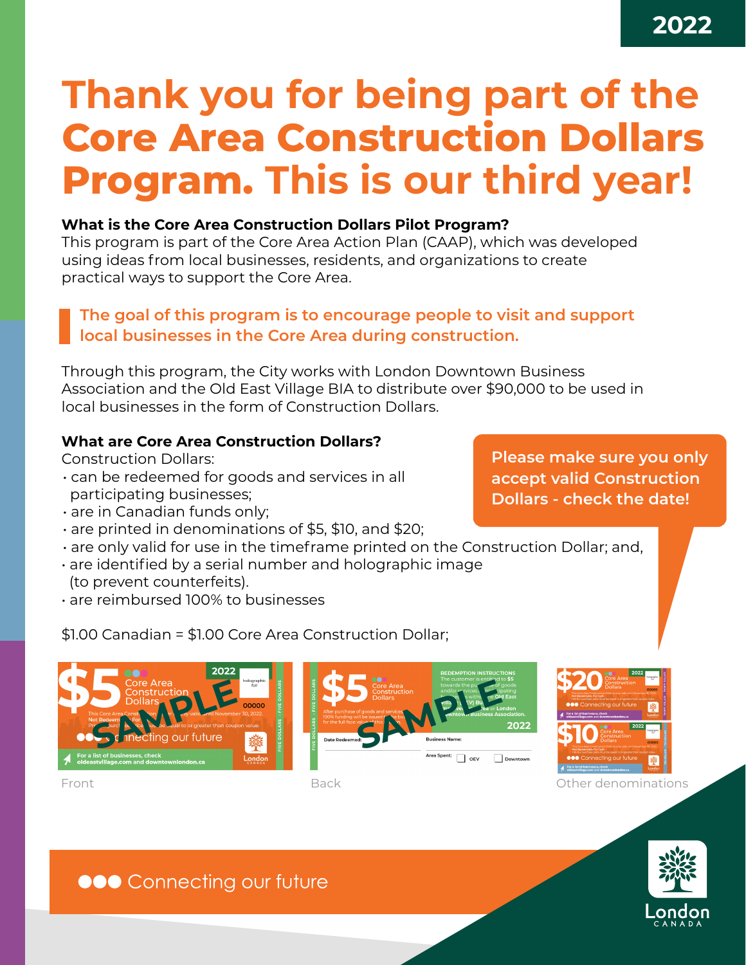# **Thank you for being part of the Core Area Construction Dollars Program. This is our third year!**

#### **What is the Core Area Construction Dollars Pilot Program?**

This program is part of the Core Area Action Plan (CAAP), which was developed using ideas from local businesses, residents, and organizations to create practical ways to support the Core Area.

### **The goal of this program is to encourage people to visit and support local businesses in the Core Area during construction.**

Through this program, the City works with London Downtown Business Association and the Old East Village BIA to distribute over \$90,000 to be used in local businesses in the form of Construction Dollars.

#### **What are Core Area Construction Dollars?**

Construction Dollars:

- can be redeemed for goods and services in all participating businesses;
- are in Canadian funds only;
- are printed in denominations of \$5, \$10, and \$20;
- are only valid for use in the timeframe printed on the Construction Dollar; and,
- are identified by a serial number and holographic image (to prevent counterfeits).
- are reimbursed 100% to businesses

**Please make sure you only accept valid Construction Dollars - check the date!**

\$1.00 Canadian = \$1.00 Core Area Construction Dollar;







Downtown

## **ODO** Connecting our future